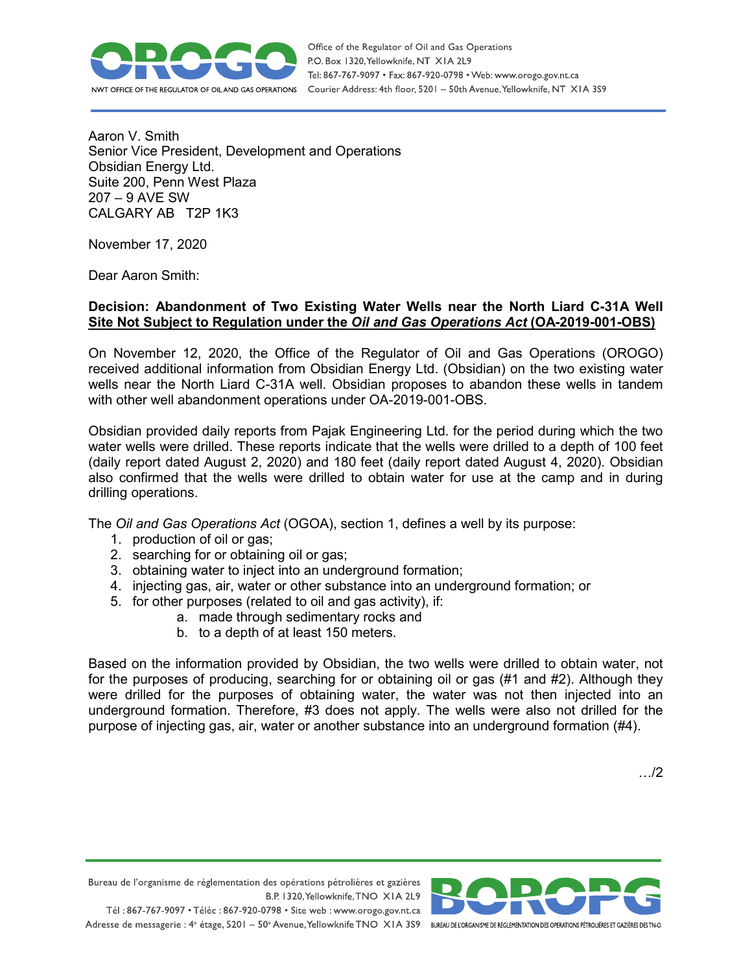

Aaron V. Smith Senior Vice President, Development and Operations Obsidian Energy Ltd. Suite 200, Penn West Plaza 207 – 9 AVE SW CALGARY AB T2P 1K3

November 17, 2020

Dear Aaron Smith:

## **Decision: Abandonment of Two Existing Water Wells near the North Liard C-31A Well Site Not Subject to Regulation under the** *Oil and Gas Operations Act* **(OA-2019-001-OBS)**

On November 12, 2020, the Office of the Regulator of Oil and Gas Operations (OROGO) received additional information from Obsidian Energy Ltd. (Obsidian) on the two existing water wells near the North Liard C-31A well. Obsidian proposes to abandon these wells in tandem with other well abandonment operations under OA-2019-001-OBS.

Obsidian provided daily reports from Pajak Engineering Ltd. for the period during which the two water wells were drilled. These reports indicate that the wells were drilled to a depth of 100 feet (daily report dated August 2, 2020) and 180 feet (daily report dated August 4, 2020). Obsidian also confirmed that the wells were drilled to obtain water for use at the camp and in during drilling operations.

The *Oil and Gas Operations Act* (OGOA), section 1, defines a well by its purpose:

- 1. production of oil or gas;
- 2. searching for or obtaining oil or gas;
- 3. obtaining water to inject into an underground formation;
- 4. injecting gas, air, water or other substance into an underground formation; or
- 5. for other purposes (related to oil and gas activity), if:
	- a. made through sedimentary rocks and
	- b. to a depth of at least 150 meters.

Based on the information provided by Obsidian, the two wells were drilled to obtain water, not for the purposes of producing, searching for or obtaining oil or gas (#1 and #2). Although they were drilled for the purposes of obtaining water, the water was not then injected into an underground formation. Therefore, #3 does not apply. The wells were also not drilled for the purpose of injecting gas, air, water or another substance into an underground formation (#4).

Bureau de l'organisme de réglementation des opérations pétrolières et gazières B.P. 1320, Yellowknife, TNO XIA 2L9 Tél: 867-767-9097 • Téléc: 867-920-0798 • Site web: www.orogo.gov.nt.ca